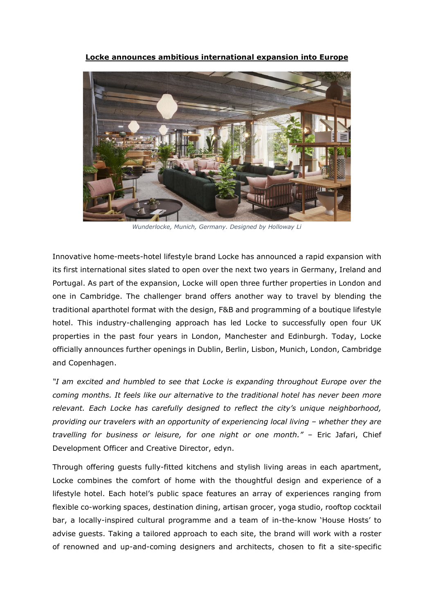**Locke announces ambitious international expansion into Europe**



*Wunderlocke, Munich, Germany. Designed by Holloway Li*

Innovative home-meets-hotel lifestyle brand Locke has announced a rapid expansion with its first international sites slated to open over the next two years in Germany, Ireland and Portugal. As part of the expansion, Locke will open three further properties in London and one in Cambridge. The challenger brand offers another way to travel by blending the traditional aparthotel format with the design, F&B and programming of a boutique lifestyle hotel. This industry-challenging approach has led Locke to successfully open four UK properties in the past four years in London, Manchester and Edinburgh. Today, Locke officially announces further openings in Dublin, Berlin, Lisbon, Munich, London, Cambridge and Copenhagen.

*"I am excited and humbled to see that Locke is expanding throughout Europe over the coming months. It feels like our alternative to the traditional hotel has never been more relevant. Each Locke has carefully designed to reflect the city's unique neighborhood, providing our travelers with an opportunity of experiencing local living – whether they are travelling for business or leisure, for one night or one month."* – Eric Jafari, Chief Development Officer and Creative Director, edyn.

Through offering guests fully-fitted kitchens and stylish living areas in each apartment, Locke combines the comfort of home with the thoughtful design and experience of a lifestyle hotel. Each hotel's public space features an array of experiences ranging from flexible co-working spaces, destination dining, artisan grocer, yoga studio, rooftop cocktail bar, a locally-inspired cultural programme and a team of in-the-know 'House Hosts' to advise guests. Taking a tailored approach to each site, the brand will work with a roster of renowned and up-and-coming designers and architects, chosen to fit a site-specific